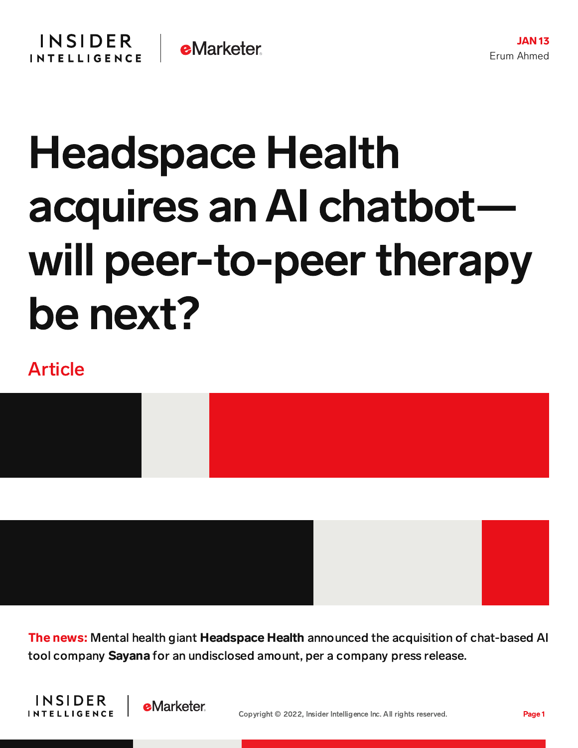## Headspace Health acquires an AI chatbot will peer-to-peer therapy be next?

## Article



The news: Mental health giant Headspace Health announced the acquisition of chat-based AI tool company Sayana for an undisclosed amount, per a company press release.



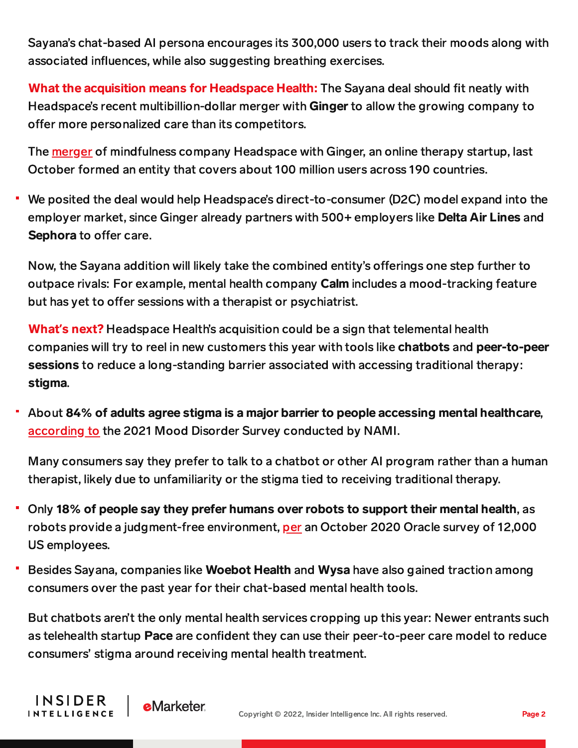Sayana's chat-based AI persona encourages its 300,000 users to track their moods along with associated influences, while also suggesting breathing exercises.

What the acquisition means for Headspace Health: The Sayana deal should fit neatly with Headspace's recent multibillion-dollar merger with Ginger to allow the growing company to offer more personalized care than its competitors.

The [merger](https://content-na1.emarketer.com/headspace-ginger-merge-form-3-billion-telemental-health-giant?_ga=2.146363959.2073318249.1641828175-57827272.1611068439) of mindfulness company Headspace with Ginger, an online therapy startup, last October formed an entity that covers about 100 million users across 190 countries.

We posited the deal would help Headspace's direct-to-consumer (D2C) model expand into the employer market, since Ginger already partners with 500+ employers like Delta Air Lines and Sephora to offer care.

Now, the Sayana addition will likely take the combined entity's offerings one step further to outpace rivals: For example, mental health company Calm includes a mood-tracking feature but has yet to offer sessions with a therapist or psychiatrist.

What**'**s next? Headspace Health's acquisition could be a sign that telemental health companies will try to reel in new customers this year with tools like chatbots and peer-to-peer sessions to reduce a long-standing barrier associated with accessing traditional therapy: stigma.

About 84% of adults agree stigma is a major barrier to people accessing mental healthcare, [according](https://www.nami.org/Press-Media/Press-Releases/2021/Survey-Finds-Treatment-Cost-and-Stigma-Are-Major-Barriers-to-Accessing-Care-for-Mood-Disorders) to the 2021 Mood Disorder Survey conducted by NAMI.

Many consumers say they prefer to talk to a chatbot or other AI program rather than a human therapist, likely due to unfamiliarity or the stigma tied to receiving traditional therapy.

- Only 18% of people say they prefer humans over robots to support their mental health, as robots provide a judgment-free environment, [per](https://www.oracle.com/news/) an October 2020 Oracle survey of 12,000 US employees.
- Besides Sayana, companies like Woebot Health and Wysa have also gained traction among consumers over the past year for their chat-based mental health tools.

But chatbots aren't the only mental health services cropping up this year: Newer entrants such as telehealth startup Pace are confident they can use their peer-to-peer care model to reduce consumers' stigma around receiving mental health treatment.

INSIDER

**INTELLIGENCE**